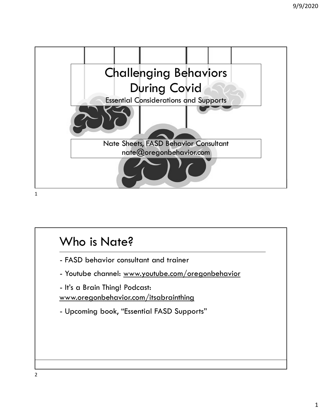

## Who is Nate?

www.oregonbehavior.com/itsabrainthing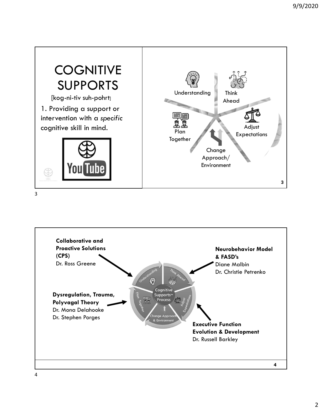



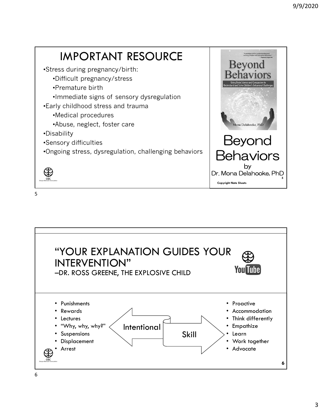

 $5<sub>5</sub>$ 

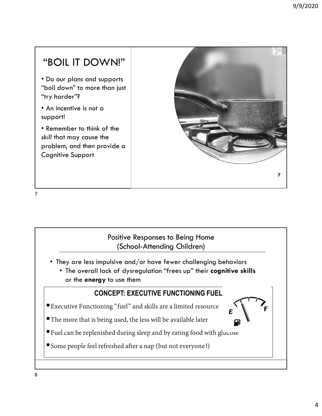## "BOIL IT DOWN!"

• Do our plans and supports "boil down" to more than just "try harder"?

• An incentive is not a support!

• Remember to think of the skill that may cause the problem, and then provide a Cognitive Support



7

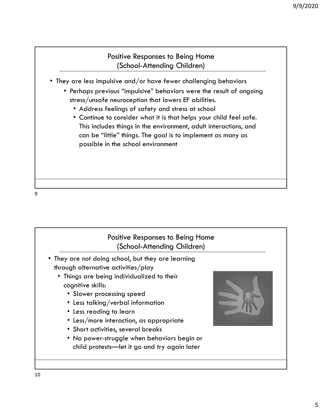## Positive Responses to Being Home (School-Attending Children)

- They are less impulsive and/or have fewer challenging behaviors
	- Perhaps previous "impulsive" behaviors were the result of ongoing stress/unsafe neuroception that lowers EF abilities.
		- Address feelings of safety and stress at school
		- Continue to consider what it is that helps your child feel safe. This includes things in the environment, adult interactions, and can be "little" things. The goal is to implement as many as possible in the school environment

9